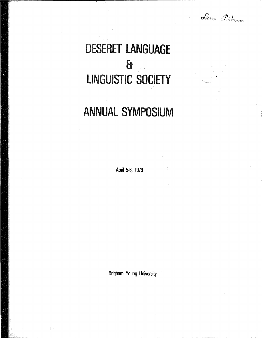Larry Richman

. <br> <br> <br> <br> <br> <br> <br> <br> <br><br><br><br><br><br><br><br><br><br><br><br><br><br><br><br>

# DESERET LANGUAGE & ' liNGUISTIC SOCIETY

## ANNUAl. SYMPOSIUM

April 5-6, 1979

Brigham Young University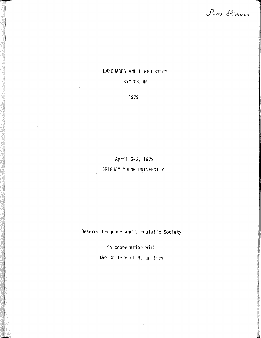Larry Richman

### LANGUAGES AND LINGUISTICS

#### SYMPOSIUM

#### 1979

April 5-6, 1979 BRIGHAM YOUNG UNIVERSITY

Deseret Language and Linguistic Society

in cooperation with the College of Humanities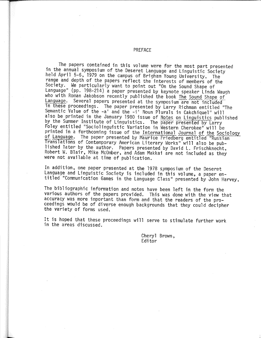#### PREFACE

The papers contained in this volume were for the most part presented in the annual symposium of the Deseret Language and Linguistic Society held April 5~6, 1979 on the campus of Brigham Young University, The range and depth of the papers reflect the interests of members of the Society. We particularly want to point out "On the Sound Shape of Language" (pp. 198-214) a paper presented by keynote speaker Linda Waugh who with Roman Jakobson recently published the book The Sound Shape of<br>Language. Several papers presented at the symposium are not included Several papers presented at the symposium are not included in these proceedings. The paper presented by Larry Richman entitled "The Semantic Value of the -a' and the -i' Noun Plurals in Cakchiquel" will<br>also be printed in the January 1980 issue of <u>Notes on Linguistics</u> published by the Summer Institute of Linguistics. The paper presented by Larry<br>Foley entitled "Sociolinguistic Variation in Western Cherokee" will be<br>printed in a forthcoming issue of the <u>International Journal of the Sociology</u> printed in a forthcoming issue of the International International International Order Trussian Translations of Contemporary American Literary Works" will also be published later by the author. Papers presented by David L. Frischknecht, Robert W. Blair, Mike McOmber, and Adam Makkai are not included as they were not available at time of publication.

In addition, one paper presented at the 1978 symposium of the Deseret Language and Linguistic Society is included in this volume, a paper entitled "Communication Games in the Language Class" presented by John Harvey,

The bibliographic information and notes have been left in the form the various authors of the papers provided. This was done with the view that accuracy was more important than form and that the readers of the pro~ ceedings would be of diverse enough backgrounds that they could decipher the variety of forms used.

It is hoped that these proceedings will serve to stimulate further work in the areas discussed.

> Cheryl Brown, Editor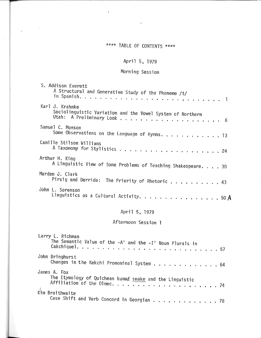### \*\*\*\* TABLE OF CONTENTS \*\*\*\*

#### April 5, 1979

#### Morning Session

| S. Addison Everett<br>A Structural and Generative Study of the Phoneme /t/                           |
|------------------------------------------------------------------------------------------------------|
| Karl J. Krahnke<br>Sociolinguistic Variation and the Vowel System of Northern                        |
|                                                                                                      |
| Samuel C. Monson<br>Some Observations on the Language of Hymns. $\dots \dots \dots \dots$            |
| Camille Stilson Williams                                                                             |
| Arthur H. King<br>A Linguistic View of Some Problems of Teaching Shakespeare. 30                     |
| Marden J. Clark<br>Pirsig and Derrida: The Priority of Rhetoric $\dots \dots \dots$                  |
| John L. Sorenson<br>Linguistics as a Cultural Activity. 50 A                                         |
| April 5, 1979                                                                                        |
| Afternoon Session 1                                                                                  |
| Larry L. Richman<br>The Semantic Value of the -A' and the -I' Noun Plurals in<br>Cakchiquel.<br>. 57 |
| John Bringhurst<br>Changes in the Kekchi Pronominal System 64                                        |

James A. Fox Kim Braithwaite Case Shift and Verb Concord in Georgian . . . . . . . . . . . . . 78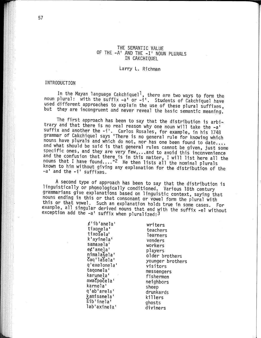#### THE SEMANTIC VALUE OF THE -A' AND THE -I' NOUN PLURALS IN CAKCHIQUEL

#### Larry L. Richman

#### **INTRODUCTION**

In the Mayan language Cakchiquel<sup>1</sup>, there are two ways to form the noun plural: with the suffix -a' or -i'. Students of Cakchiquel have used different approaches to explain the use of these plural suffixes, but they are incongruent and never reveal the basic semantic meaning,

The first approach has been to say that the distribution is arbitrary and that there is no real reason why one noun will take the -a' suffix and another the -i'. Carlos Rosales, for example, in his 1748 grammar of Cakchiquel says "There is no general rule for knowing which nouns have plurals and which do not, nor has one been found to date.... and what should be said is that general rules cannot be given, just some specific ones, and they are very few,...and to avoid this inconvenience and the confusion that there is in this matter, I will list here all the<br>nouns that I have found...."<sup>2</sup> He then lists all the nominal plurals known to him without giving any explanation for the distribution of the -a' and the -i' suffixes.

A second type of approach has been to say that the distribution is linguistically or phonologically conditioned. Various 18th century grammarians give explanations based on linguistic context, saying that nouns ending in this or that consonant or vowel form the plural with this or that vowel. Such an explanation holds true in some cases. For example, all singular derived nouns that end with the suffix -el without exception add the -a' suffix when pluralized: 3

> $\not\ell$ 'ib'anela' tixonela' tixošela' k'avinela' samaxela' e¢'anela' nimalašela' čag'lašela' q'exelonela' tagonela' karunela' awa Cpo Cela' karnela' q'ab'arela' kamisanela' sib'inela' lab'axinela'

writers teachers learners venders workers players older brothers younger brothers visitors messengers fishermen neighbors sheep drunkards killers ghosts diviners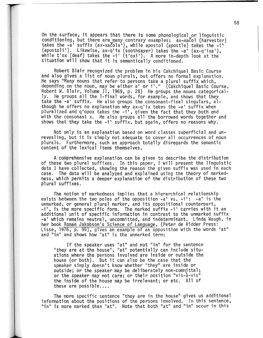On the surface, it appears that there is some phonological or linguistic conditioning, but there are many contrary examples; ax-xacol (harvester) takes the -a' suffix (ax-xacola'), while apostol (apostle) takes the  $\pi^*$ (apostoli'). Likewise, ax-q'ix (soothsayer) takes the -a' (ax-q'ixa'), while t'ox (deaf) takes the -i' (t'oxi'). A more in-depth look at the situation will show that it is semantically conditioned.

Robert Blair recognized the problem in his Cakchiquel Basic Course<br>and also gives a list of noun plurals, but offers no formal explanation. He says "Many nouns that refer to persons take a plural suffix which, depending on the noun, may be either  $a'$  or i'." (Cakchiquel Basic Course, Robert W. Blair, Volume II, 1969, p. 28) He groups the nouns categorically. He groups all the 1-final words, for example, and shows that they take the -a' suffix. He also groups the consonant-final singulars, although he offers no explanation why ax-q'ix takes the  $-a^t$  suffix when pluralized and q'opox takes the -i', given the fact that they both end with the consonant x. He also groups all the borrowed words together and shows that they take the  $-i'$  suffix, but again, offers no reasons why.

Not only is an explanation based on word classes superficial and un~ revealing, but it is simply not adequate to cover all occurrences of noun plurals. Furthermore, such an approach totally disregards the semantic content of the lexical items themselves,

A comprehensive explanation can be given to describe the distribution of these two plural suffixes. In this paper, I will present the linguistic data I have collected, showing the reason the given suffix was used in each case. The data will be analyzed and explained using the theory of markedness, which permits a deeper explanation of the distribution of these two plural suffixes.

The notion of markedness implies that a hierarchical relationship exists between the two poles of the opposition  $-a^t$  vs,  $-a^t$ :  $-a^t$  is the unmarked, or general plural marker, and its oppositional counterpart,  $-i'$ , is the more specific form. The marked suffix  $-i'$  carries with it an additional unit of specific information in contrast to the unmarked suffix -a' which remains neutral, uncommitted, and indeterminant, Linda Waugh, in her book Roman Jakobson's Science of Language, (Peter de Ridder Press: Lisse,  $1976$ , p.  $95$ ), gives an example of an opposition with the words "at" and "in" and shows how "at" is the unmarked term:

If the speaker uses "at" and not "in" for the sentence "they are at the house", "at" potentially can include situ~ ations where the persons involved are inside or outside the house (or both). But it can also be the case that the speaker simply doesn't know whether "they" are inside or outside; or the speaker may be deliberately non-committal; or the speaker may not care; or their position "vis-a-vis" the inside of the house may be irrelevant; or etc. All of these are possible....

The more specific sentence "they are in the house'' gives us additional information about the positions of the persons involved. In this sentence, "in" is more marked than "at". Note that both "at" and "in" occur in this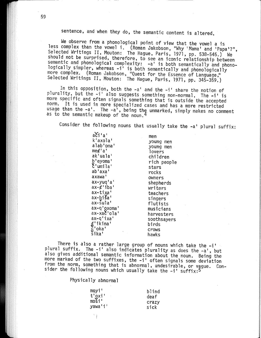sentence, and when they do, the semantic content is altered.

We observe from a phonological point of view that the vowel a is less complex than the vowel i. (Roman Jakobson, "Why 'Mama' and 'Papa'?", Selected Writings II, Mouton: The Hague, Paris, 1971, pp. 538~545.) We should not be surprised, therefore, to see an iconic relationship between semantic and phonological complexity: - a' is both semantically and phonologically simpler, whereas -i' is both semantically and phonologically<br>more complex. (Roman Jakobson, "Quest for the Essence of Language," Selected Writings II, Mouton: The Hague, Paris, 1971, pp. 345-359.)

In this opposition, both the  $-a'$  and the  $-i'$  share the notion of plurality, but the -i' also suggests something non-normal. The -i' is more specific and often signals something that is outside the accepted norm. It is used in more specialized cases and has a more restricted usage than the  $-a'$ . The  $-a'$ , being the unmarked, simply makes no comment as to the semantic makeup of the noun.<sup>4</sup>

Consider the following nouns that usually take the  $-a^+$  plural suffix:

k1 axola' alab'oma' me¢ <sup>1</sup> a' ak'uala' b'eyoma'  $\zeta'$ umila' ab'axa' axawa' ax-yuq'a'  $ax-x'$  iba' ax-tixa <sup>1</sup>  $ax$ -bi $a'$ ax-sula' ax-q'oxoma' ax-xac'ola' ax-q' ixa 1  $\mathcal{L}$  ikina'  $\zeta'$ oka'

 $a$  $c$ <sup> $l$ </sup> $a$ <sup> $l$ </sup>

men young men young men **lovers** children rich people stars rocks owners shepherds writers teachers singers flutists musicians harvesters soothsayers birds crows hawks

There is also a rather large group of nouns which take the  $-i$ plural suffix. The -i' also indicates plurality as does the -a', but also gives additional semantic information about the noun. Being the more marked of the two suffixes, the -i' often signals some deviation from the norm, something that is abnormal, undesirable, or vague. Consider the following nouns which usually take the  $-i'$  suffix:<sup>5</sup>

Physically abnormal

ή.

 $5$ ika'

| $m$ oyi'                                         | blind |
|--------------------------------------------------|-------|
| t'oxi'                                           | deaf  |
| $mo\widetilde{\mathsf{S}}\widetilde{\mathsf{I}}$ | crazy |
| yawa'i'                                          | sick  |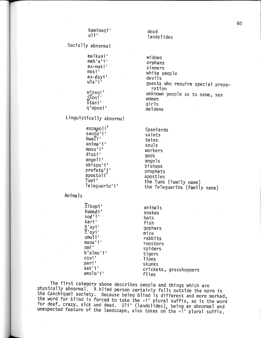Socially abnormal

malkani' meb'a'i' ax-maki' mosi <sup>1</sup> ax-¢ayi <sup>1</sup>  $ula'i'$ 

winaqi' j,S'oqi <sup>1</sup> stani <sup>1</sup> q'opoxi <sup>1</sup>

Linguistically abnormal

espanoli'  $s$ anto'i' kwači' anima'i <sup>1</sup> moso'i' diosi' angeli' obispo'i' profeta' i' apostoli <sup>1</sup> Tumi' Teleguario'i'

Animals

tikopi' kuma¢i <sup>1</sup> so¢'i' kari' b 1 ayi <sup>1</sup>  $\zeta'$  oyi'  $umu1i'$ mama'i <sup>1</sup> omi<sup>+</sup> b~alma i' coxi' pari 1 .<br>sak'i' amolo'i'

dead landslides

widows orphans sinners white people devils guests who require special prepa~ ration unknown people as to name, sex women girls maidens

Spaniards saints twins souls workers gods angels bishops prophets apostles the Tums (family name) the Teleguarios (family name)

animals snakes bats fish gophers mice rabbits roosters spiders tigers 1 ions skunks crickets, grasshoppers flies

The first category above describes people and things which are physically abnormal. A blind person certainly falls outside the norm in the Cakchiquel society. Because being blind is different and more marked, the word for blind is forced to take the  $-i'$  plural suffix, as is the word for deaf, crazy, sick and dead. Uli' (landslides), being an abnormal and unexpected feature of the landscape, also takes on the -i' plural suffix.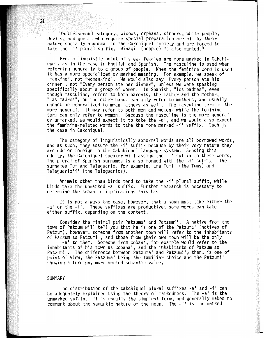In the second category, widows, orphans, sinners, white people, devils, and guests who require special preparation are all by their nature socially abnormal in the Cakchiquel society and are forced to take the  $-i'$  plural suffix. Winaqi' (people) is also marked.<sup>6</sup>

From a linguistic point of view, females are more marked in Cakchiquel, as in the case in English and Spanish. The masculine is used when referring generally to a group of people. When the feminine word is used<br>it has a more specialized or marked meaning. For example, we speak of "mankind", not "womankind". We would also say "Every person ate his dinner", not "Every person ate her dinner", unless we were speaking<br>specifically about a group of women. In Spanish, "los padres", even though masculine, refers to both parents, the father and the mother., "Las madres", on the other hand, can only refer to mothers, and usually cannot be generalized to mean fathers as well. The masculine term is the more general. It may refer to both men and women, while the feminine term can only refer to women. Because the masculine is the more general or unmarked, we would expect it to take the -a', and we would also expect the feminine-related words to take the more marked -i' suffix. Such is the case in Cakchiquel.

The category of linguistically abnormal words are all borrowed words, and as such, they assume the ~i' suffix because by their very nature they are odd or foreign to the Cakchiquel language system. Sensing this oddity, the Cakchiquel speaker will assign the -i' suffix to these words. The plural of Spanish surnames is also formed with the -i' suffix, The surnames Tum and Teleguario, for example, are Tumi' (the Tums) and Teleguario'i' (the Teleguarios}.

Animals other than birds tend to take the -i' plural suffix, while birds take the unmarked -a• suffix. Further research is necessary to determine the semantic implications this has.

It is not always the case, however, that a noun must take either the -a' or the -i'. These suffixes are productive; some words can take either suffix, depending on the context.

Consider the minimal pair Patzuma' and Patzumi'. A native from the town of Patzum will tell you that he is one of the Patzuma' (natives of Patzum), however, someone from another town will refer to the inhabitants of Patzum as Patzumi', and those from their own town will be the only  $-$ a' to them. Someone from Coban<sup>7</sup>, for example would refer to the inhabitants of his town as Cobana', and the inhabitants of Patzum as Patzumi'. The difference between Patzuma' and Patzumi', then, is one of point of view, the Patzuma' being the familiar choice and the Patzumi' showing a foreign, more marked semantic value.

#### SUMMARY

The distribution of the Cakchiquel plural suffixes  $-a'$  and  $-i'$  can be adequately explained using the theory of markedness. The  $-a'$  is the unmarked suffix. It is usually the simplest form, and generally makes no comment about the semantic nature of the noun. The -i' is the marked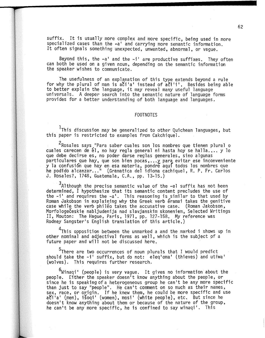suffix. It is usually more complex and more specific, being used in more specialized cases than the  $-a'$  and carrying more semantic information. It often signals something unexpected, unwanted, abnormal, or vague.

Beyond this, the  $-a'$  and the  $-i'$  are productive suffixes. They often can both be used on a given noun, depending on the semantic information the speaker wishes to communicate.

The usefulness of an explanation of this type extends beyond a rule for why the plural of man is a i'a' instead of  $a$  i'i'. Besides being able to better explain the language, it may reveal many useful language universals. A deeper search into the semantic nature of language forms provides for a better understanding·of both language and languages.

#### FOOTNOTES

 $^{\text{1}}$ This discussion may be generalized to other Quichean languages, but this paper is restricted to examples from Cakchiquel.

2Rosales says "Para saber cuales son los nombres que tienen plural o cuales carecen de él, no hay regla general ni hasta hoy se halla.... y lo<br>que debe decirse es, no poder darse reglas generales, sino algunas que debe decirse es, no poder darse reglas generales, sino algunas<br>particulares que hay, que son bien pocas,...y para evitar ese inconveniente y la confusión que hay en esa materia, pondre aquí todos los nombres que<br>he podido alcanzar..." (Gramatica del idioma cachiquel, R. P, Fr. Carlos J. Rosales?, 1748, Guatemala, C.A., pp. 13~15.)

 $^3$ Although the precise semantic value of the -el suffix has not been determined, I hypothesize that its semantic content precludes the use of the  $-i'$  and requires the  $-a'$ . This reasoning is similar to that used by Roman Jakobson in explaining why the Greek verb eramai takes the genitive case while the verb phileo takes the accusative case; (Roman Jakobson, Morfologečeskie nabljudenija nad slavjanskim skoneniem, Selected Writings<br>II, Mouton: The Hague, Paris, 1971, pp. 127-158, My reference was II, Mouton: The Hague, Paris, 1971, pp. 127-158. My reference was<br>Rodney Sangster's English translation of this article.)

<sup>4</sup>This opposition between the unmarked a and the marked i shows up in other nominal and adjectival forms as well, which is the subject pf a future paper and will not be discussed here,

<sup>5</sup>There are two occurrences of noun plurals that I would predict<br>|should take the -i' suffix, but do not: eleq'oma' (thieves) and utiwa should take the -i' suffix, but do not: eleq'oma' (thieves) and utiwa'<br>(wolves). This requires further research.

<sup>6</sup>Winaqi' (people) is very vague. It gives no information about the people. Either the speaker doesn't know anything about the people, or<br>since he is speaking of a heterogeneous group he can't be any more specific since he is speaking of a heterogeneous group he can't comment than just to say "people". He can't comment on so much as their names, sex, race, or origin. If he knew them, he could be more specific and use a $\delta$ i'a' (men), išoqi' (women), mosi' (white people), etc. But since he doesn't know anything about them or because of the nature of the group, he can't be any more specific, he is confined to say winaqi' . This